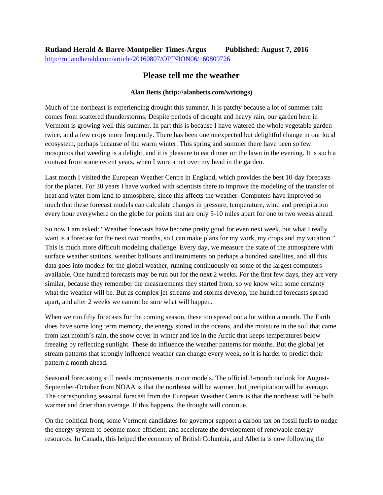## **Please tell me the weather**

## **Alan Betts (http://alanbetts.com/writings)**

Much of the northeast is experiencing drought this summer. It is patchy because a lot of summer rain comes from scattered thunderstorms. Despite periods of drought and heavy rain, our garden here in Vermont is growing well this summer. In part this is because I have watered the whole vegetable garden twice, and a few crops more frequently. There has been one unexpected but delightful change in our local ecosystem, perhaps because of the warm winter. This spring and summer there have been so few mosquitos that weeding is a delight, and it is pleasure to eat dinner on the lawn in the evening. It is such a contrast from some recent years, when I wore a net over my head in the garden.

Last month I visited the European Weather Centre in England, which provides the best 10-day forecasts for the planet. For 30 years I have worked with scientists there to improve the modeling of the transfer of heat and water from land to atmosphere, since this affects the weather. Computers have improved so much that these forecast models can calculate changes in pressure, temperature, wind and precipitation every hour everywhere on the globe for points that are only 5-10 miles apart for one to two weeks ahead.

So now I am asked: "Weather forecasts have become pretty good for even next week, but what I really want is a forecast for the next two months, so I can make plans for my work, my crops and my vacation." This is much more difficult modeling challenge. Every day, we measure the state of the atmosphere with surface weather stations, weather balloons and instruments on perhaps a hundred satellites, and all this data goes into models for the global weather, running continuously on some of the largest computers available. One hundred forecasts may be run out for the next 2 weeks. For the first few days, they are very similar, because they remember the measurements they started from, so we know with some certainty what the weather will be. But as complex jet-streams and storms develop, the hundred forecasts spread apart, and after 2 weeks we cannot be sure what will happen.

When we run fifty forecasts for the coming season, these too spread out a lot within a month. The Earth does have some long term memory, the energy stored in the oceans, and the moisture in the soil that came from last month's rain, the snow cover in winter and ice in the Arctic that keeps temperatures below freezing by reflecting sunlight. These do influence the weather patterns for months. But the global jet stream patterns that strongly influence weather can change every week, so it is harder to predict their pattern a month ahead.

Seasonal forecasting still needs improvements in our models. The official 3-month outlook for August-September-October from NOAA is that the northeast will be warmer, but precipitation will be average. The corresponding seasonal forecast from the European Weather Centre is that the northeast will be both warmer and drier than average. If this happens, the drought will continue.

On the political front, some Vermont candidates for governor support a carbon tax on fossil fuels to nudge the energy system to become more efficient, and accelerate the development of renewable energy resources. In Canada, this helped the economy of British Columbia, and Alberta is now following the